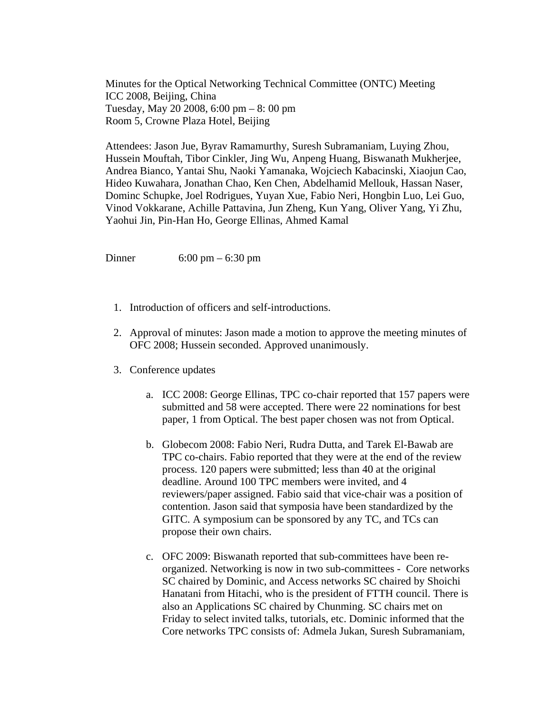Minutes for the Optical Networking Technical Committee (ONTC) Meeting ICC 2008, Beijing, China Tuesday, May 20 2008, 6:00 pm – 8: 00 pm Room 5, Crowne Plaza Hotel, Beijing

Attendees: Jason Jue, Byrav Ramamurthy, Suresh Subramaniam, Luying Zhou, Hussein Mouftah, Tibor Cinkler, Jing Wu, Anpeng Huang, Biswanath Mukherjee, Andrea Bianco, Yantai Shu, Naoki Yamanaka, Wojciech Kabacinski, Xiaojun Cao, Hideo Kuwahara, Jonathan Chao, Ken Chen, Abdelhamid Mellouk, Hassan Naser, Dominc Schupke, Joel Rodrigues, Yuyan Xue, Fabio Neri, Hongbin Luo, Lei Guo, Vinod Vokkarane, Achille Pattavina, Jun Zheng, Kun Yang, Oliver Yang, Yi Zhu, Yaohui Jin, Pin-Han Ho, George Ellinas, Ahmed Kamal

Dinner 6:00 pm – 6:30 pm

- 1. Introduction of officers and self-introductions.
- 2. Approval of minutes: Jason made a motion to approve the meeting minutes of OFC 2008; Hussein seconded. Approved unanimously.
- 3. Conference updates
	- a. ICC 2008: George Ellinas, TPC co-chair reported that 157 papers were submitted and 58 were accepted. There were 22 nominations for best paper, 1 from Optical. The best paper chosen was not from Optical.
	- b. Globecom 2008: Fabio Neri, Rudra Dutta, and Tarek El-Bawab are TPC co-chairs. Fabio reported that they were at the end of the review process. 120 papers were submitted; less than 40 at the original deadline. Around 100 TPC members were invited, and 4 reviewers/paper assigned. Fabio said that vice-chair was a position of contention. Jason said that symposia have been standardized by the GITC. A symposium can be sponsored by any TC, and TCs can propose their own chairs.
	- c. OFC 2009: Biswanath reported that sub-committees have been reorganized. Networking is now in two sub-committees - Core networks SC chaired by Dominic, and Access networks SC chaired by Shoichi Hanatani from Hitachi, who is the president of FTTH council. There is also an Applications SC chaired by Chunming. SC chairs met on Friday to select invited talks, tutorials, etc. Dominic informed that the Core networks TPC consists of: Admela Jukan, Suresh Subramaniam,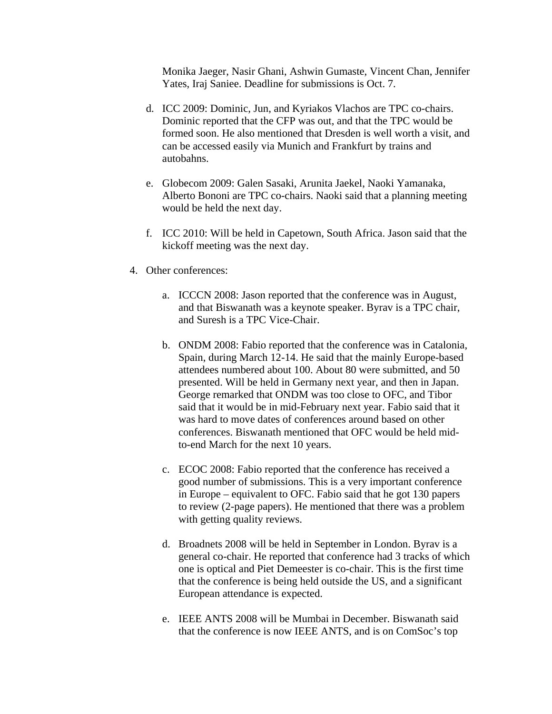Monika Jaeger, Nasir Ghani, Ashwin Gumaste, Vincent Chan, Jennifer Yates, Iraj Saniee. Deadline for submissions is Oct. 7.

- d. ICC 2009: Dominic, Jun, and Kyriakos Vlachos are TPC co-chairs. Dominic reported that the CFP was out, and that the TPC would be formed soon. He also mentioned that Dresden is well worth a visit, and can be accessed easily via Munich and Frankfurt by trains and autobahns.
- e. Globecom 2009: Galen Sasaki, Arunita Jaekel, Naoki Yamanaka, Alberto Bononi are TPC co-chairs. Naoki said that a planning meeting would be held the next day.
- f. ICC 2010: Will be held in Capetown, South Africa. Jason said that the kickoff meeting was the next day.
- 4. Other conferences:
	- a. ICCCN 2008: Jason reported that the conference was in August, and that Biswanath was a keynote speaker. Byrav is a TPC chair, and Suresh is a TPC Vice-Chair.
	- b. ONDM 2008: Fabio reported that the conference was in Catalonia, Spain, during March 12-14. He said that the mainly Europe-based attendees numbered about 100. About 80 were submitted, and 50 presented. Will be held in Germany next year, and then in Japan. George remarked that ONDM was too close to OFC, and Tibor said that it would be in mid-February next year. Fabio said that it was hard to move dates of conferences around based on other conferences. Biswanath mentioned that OFC would be held midto-end March for the next 10 years.
	- c. ECOC 2008: Fabio reported that the conference has received a good number of submissions. This is a very important conference in Europe – equivalent to OFC. Fabio said that he got 130 papers to review (2-page papers). He mentioned that there was a problem with getting quality reviews.
	- d. Broadnets 2008 will be held in September in London. Byrav is a general co-chair. He reported that conference had 3 tracks of which one is optical and Piet Demeester is co-chair. This is the first time that the conference is being held outside the US, and a significant European attendance is expected.
	- e. IEEE ANTS 2008 will be Mumbai in December. Biswanath said that the conference is now IEEE ANTS, and is on ComSoc's top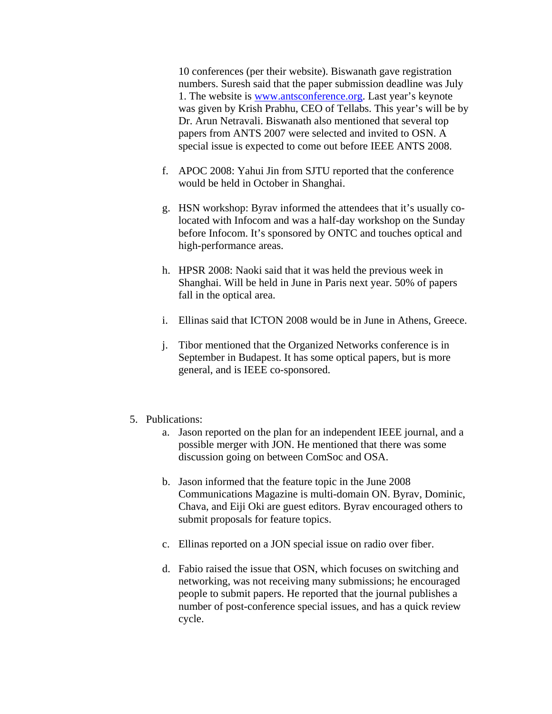10 conferences (per their website). Biswanath gave registration numbers. Suresh said that the paper submission deadline was July 1. The website is www.antsconference.org. Last year's keynote was given by Krish Prabhu, CEO of Tellabs. This year's will be by Dr. Arun Netravali. Biswanath also mentioned that several top papers from ANTS 2007 were selected and invited to OSN. A special issue is expected to come out before IEEE ANTS 2008.

- f. APOC 2008: Yahui Jin from SJTU reported that the conference would be held in October in Shanghai.
- g. HSN workshop: Byrav informed the attendees that it's usually colocated with Infocom and was a half-day workshop on the Sunday before Infocom. It's sponsored by ONTC and touches optical and high-performance areas.
- h. HPSR 2008: Naoki said that it was held the previous week in Shanghai. Will be held in June in Paris next year. 50% of papers fall in the optical area.
- i. Ellinas said that ICTON 2008 would be in June in Athens, Greece.
- j. Tibor mentioned that the Organized Networks conference is in September in Budapest. It has some optical papers, but is more general, and is IEEE co-sponsored.
- 5. Publications:
	- a. Jason reported on the plan for an independent IEEE journal, and a possible merger with JON. He mentioned that there was some discussion going on between ComSoc and OSA.
	- b. Jason informed that the feature topic in the June 2008 Communications Magazine is multi-domain ON. Byrav, Dominic, Chava, and Eiji Oki are guest editors. Byrav encouraged others to submit proposals for feature topics.
	- c. Ellinas reported on a JON special issue on radio over fiber.
	- d. Fabio raised the issue that OSN, which focuses on switching and networking, was not receiving many submissions; he encouraged people to submit papers. He reported that the journal publishes a number of post-conference special issues, and has a quick review cycle.